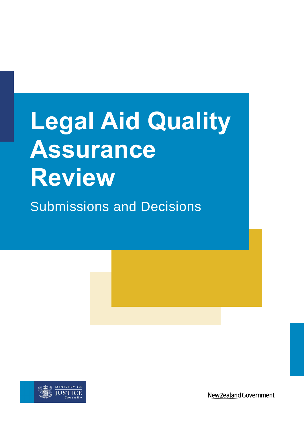# **Legal Aid Quality Assurance Review**

Submissions and Decisions



New Zealand Government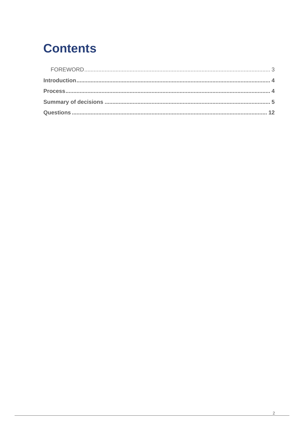### **Contents**

<span id="page-1-0"></span>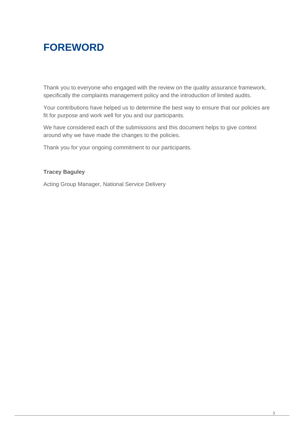### **FOREWORD**

Thank you to everyone who engaged with the review on the quality assurance framework, specifically the complaints management policy and the introduction of limited audits.

Your contributions have helped us to determine the best way to ensure that our policies are fit for purpose and work well for you and our participants.

We have considered each of the submissions and this document helps to give context around why we have made the changes to the policies.

Thank you for your ongoing commitment to our participants.

#### **Tracey Baguley**

Acting Group Manager, National Service Delivery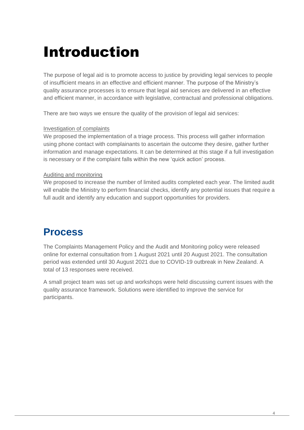## <span id="page-3-0"></span>Introduction

The purpose of legal aid is to promote access to justice by providing legal services to people of insufficient means in an effective and efficient manner. The purpose of the Ministry's quality assurance processes is to ensure that legal aid services are delivered in an effective and efficient manner, in accordance with legislative, contractual and professional obligations.

There are two ways we ensure the quality of the provision of legal aid services:

#### Investigation of complaints

We proposed the implementation of a triage process. This process will gather information using phone contact with complainants to ascertain the outcome they desire, gather further information and manage expectations. It can be determined at this stage if a full investigation is necessary or if the complaint falls within the new 'quick action' process.

#### Auditing and monitoring

We proposed to increase the number of limited audits completed each year. The limited audit will enable the Ministry to perform financial checks, identify any potential issues that require a full audit and identify any education and support opportunities for providers.

### <span id="page-3-1"></span>**Process**

The Complaints Management Policy and the Audit and Monitoring policy were released online for external consultation from 1 August 2021 until 20 August 2021. The consultation period was extended until 30 August 2021 due to COVID-19 outbreak in New Zealand. A total of 13 responses were received.

A small project team was set up and workshops were held discussing current issues with the quality assurance framework. Solutions were identified to improve the service for participants.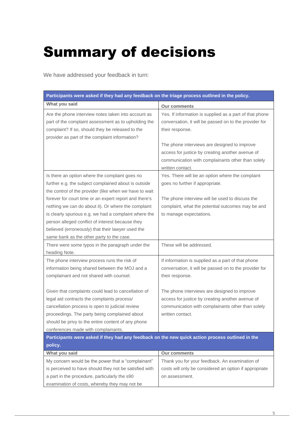# <span id="page-4-0"></span>Summary of decisions

We have addressed your feedback in turn:

| Participants were asked if they had any feedback on the triage process outlined in the policy.                                                                                                                                                                                                                               |                                                                                                                                                                           |
|------------------------------------------------------------------------------------------------------------------------------------------------------------------------------------------------------------------------------------------------------------------------------------------------------------------------------|---------------------------------------------------------------------------------------------------------------------------------------------------------------------------|
| What you said                                                                                                                                                                                                                                                                                                                | <b>Our comments</b>                                                                                                                                                       |
| Are the phone interview notes taken into account as<br>part of the complaint assessment as to upholding the<br>complaint? If so, should they be released to the<br>provider as part of the complaint information?                                                                                                            | Yes. If information is supplied as a part of that phone<br>conversation, it will be passed on to the provider for<br>their response.                                      |
|                                                                                                                                                                                                                                                                                                                              | The phone interviews are designed to improve<br>access for justice by creating another avenue of<br>communication with complainants other than solely<br>written contact. |
| Is there an option where the complaint goes no<br>further e.g. the subject complained about is outside<br>the control of the provider (like when we have to wait                                                                                                                                                             | Yes. There will be an option where the complaint<br>goes no further if appropriate.                                                                                       |
| forever for court time or an expert report and there's<br>nothing we can do about it). Or where the complaint<br>is clearly spurious e.g. we had a complaint where the<br>person alleged conflict of interest because they<br>believed (erroneously) that their lawyer used the<br>same bank as the other party to the case. | The phone interview will be used to discuss the<br>complaint, what the potential outcomes may be and<br>to manage expectations.                                           |
| There were some typos in the paragraph under the<br>heading Note.                                                                                                                                                                                                                                                            | These will be addressed.                                                                                                                                                  |
| The phone interview process runs the risk of<br>information being shared between the MOJ and a<br>complainant and not shared with counsel.                                                                                                                                                                                   | If information is supplied as a part of that phone<br>conversation, it will be passed on to the provider for<br>their response.                                           |
| Given that complaints could lead to cancellation of<br>legal aid contracts the complaints process/<br>cancellation process is open to judicial review<br>proceedings. The party being complained about<br>should be privy to the entire content of any phone<br>conferences made with complainants.                          | The phone interviews are designed to improve<br>access for justice by creating another avenue of<br>communication with complainants other than solely<br>written contact. |
| Participants were asked if they had any feedback on the new quick action process outlined in the                                                                                                                                                                                                                             |                                                                                                                                                                           |
| policy.                                                                                                                                                                                                                                                                                                                      |                                                                                                                                                                           |
| What you said                                                                                                                                                                                                                                                                                                                | <b>Our comments</b>                                                                                                                                                       |
| My concern would be the power that a "complainant"                                                                                                                                                                                                                                                                           | Thank you for your feedback. An examination of                                                                                                                            |
| is perceived to have should they not be satisfied with<br>a part in the procedure, particularly the s90                                                                                                                                                                                                                      | costs will only be considered an option if appropriate<br>on assessment.                                                                                                  |
| examination of costs, whereby they may not be                                                                                                                                                                                                                                                                                |                                                                                                                                                                           |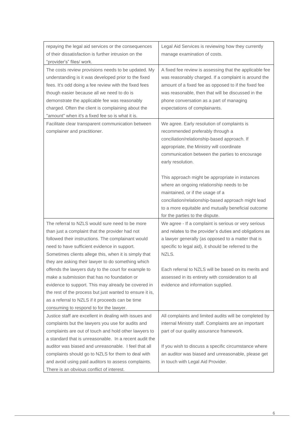| repaying the legal aid services or the consequences<br>of their dissatisfaction is further intrusion on the<br>"provider's" files/ work.                                                                                                                                                                                                                                                                                                                                                                                                                                                                                                         | Legal Aid Services is reviewing how they currently<br>manage examination of costs.                                                                                                                                                                                                                                                                                                          |
|--------------------------------------------------------------------------------------------------------------------------------------------------------------------------------------------------------------------------------------------------------------------------------------------------------------------------------------------------------------------------------------------------------------------------------------------------------------------------------------------------------------------------------------------------------------------------------------------------------------------------------------------------|---------------------------------------------------------------------------------------------------------------------------------------------------------------------------------------------------------------------------------------------------------------------------------------------------------------------------------------------------------------------------------------------|
| The costs review provisions needs to be updated. My<br>understanding is it was developed prior to the fixed<br>fees. It's odd doing a fee review with the fixed fees<br>though easier because all we need to do is<br>demonstrate the applicable fee was reasonably<br>charged. Often the client is complaining about the<br>"amount" when it's a fixed fee so is what it is.                                                                                                                                                                                                                                                                    | A fixed fee review is assessing that the applicable fee<br>was reasonably charged. If a complaint is around the<br>amount of a fixed fee as opposed to if the fixed fee<br>was reasonable, then that will be discussed in the<br>phone conversation as a part of managing<br>expectations of complainants.                                                                                  |
| Facilitate clear transparent communication between<br>complainer and practitioner.                                                                                                                                                                                                                                                                                                                                                                                                                                                                                                                                                               | We agree. Early resolution of complaints is<br>recommended preferably through a<br>conciliation/relationship-based approach. If<br>appropriate, the Ministry will coordinate<br>communication between the parties to encourage<br>early resolution.<br>This approach might be appropriate in instances<br>where an ongoing relationship needs to be<br>maintained, or if the usage of a     |
|                                                                                                                                                                                                                                                                                                                                                                                                                                                                                                                                                                                                                                                  | conciliation/relationship-based approach might lead<br>to a more equitable and mutually beneficial outcome<br>for the parties to the dispute.                                                                                                                                                                                                                                               |
| The referral to NZLS would sure need to be more<br>than just a complaint that the provider had not<br>followed their instructions. The complainant would<br>need to have sufficient evidence in support.<br>Sometimes clients allege this, when it is simply that<br>they are asking their lawyer to do something which<br>offends the lawyers duty to the court for example to<br>make a submission that has no foundation or<br>evidence to support. This may already be covered in<br>the rest of the process but just wanted to ensure it is,<br>as a referral to NZLS if it proceeds can be time<br>consuming to respond to for the lawyer. | We agree - If a complaint is serious or very serious<br>and relates to the provider's duties and obligations as<br>a lawyer generally (as opposed to a matter that is<br>specific to legal aid), it should be referred to the<br>NZLS.<br>Each referral to NZLS will be based on its merits and<br>assessed in its entirety with consideration to all<br>evidence and information supplied. |
| Justice staff are excellent in dealing with issues and<br>complaints but the lawyers you use for audits and<br>complaints are out of touch and hold other lawyers to<br>a standard that is unreasonable. In a recent audit the<br>auditor was biased and unreasonable. I feel that all<br>complaints should go to NZLS for them to deal with<br>and avoid using paid auditors to assess complaints.<br>There is an obvious conflict of interest.                                                                                                                                                                                                 | All complaints and limited audits will be completed by<br>internal Ministry staff. Complaints are an important<br>part of our quality assurance framework.<br>If you wish to discuss a specific circumstance where<br>an auditor was biased and unreasonable, please get<br>in touch with Legal Aid Provider.                                                                               |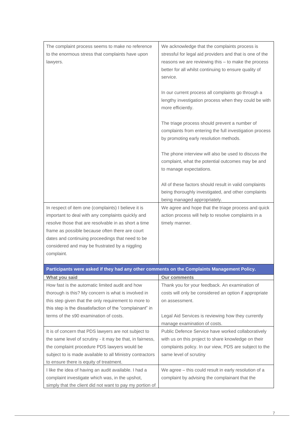| The complaint process seems to make no reference<br>to the enormous stress that complaints have upon<br>lawyers. | We acknowledge that the complaints process is<br>stressful for legal aid providers and that is one of the<br>reasons we are reviewing this - to make the process<br>better for all whilst continuing to ensure quality of<br>service.<br>In our current process all complaints go through a<br>lengthy investigation process when they could be with |
|------------------------------------------------------------------------------------------------------------------|------------------------------------------------------------------------------------------------------------------------------------------------------------------------------------------------------------------------------------------------------------------------------------------------------------------------------------------------------|
|                                                                                                                  | more efficiently.                                                                                                                                                                                                                                                                                                                                    |
|                                                                                                                  | The triage process should prevent a number of<br>complaints from entering the full investigation process<br>by promoting early resolution methods.                                                                                                                                                                                                   |
|                                                                                                                  | The phone interview will also be used to discuss the<br>complaint, what the potential outcomes may be and<br>to manage expectations.                                                                                                                                                                                                                 |
|                                                                                                                  | All of these factors should result in valid complaints<br>being thoroughly investigated, and other complaints<br>being managed appropriately.                                                                                                                                                                                                        |
| In respect of item one (complaints) I believe it is                                                              | We agree and hope that the triage process and quick                                                                                                                                                                                                                                                                                                  |
| important to deal with any complaints quickly and                                                                | action process will help to resolve complaints in a                                                                                                                                                                                                                                                                                                  |
| resolve those that are resolvable in as short a time                                                             | timely manner.                                                                                                                                                                                                                                                                                                                                       |
| frame as possible because often there are court                                                                  |                                                                                                                                                                                                                                                                                                                                                      |
| dates and continuing proceedings that need to be                                                                 |                                                                                                                                                                                                                                                                                                                                                      |
| considered and may be frustrated by a niggling                                                                   |                                                                                                                                                                                                                                                                                                                                                      |
| complaint.                                                                                                       |                                                                                                                                                                                                                                                                                                                                                      |
|                                                                                                                  |                                                                                                                                                                                                                                                                                                                                                      |
| Participants were asked if they had any other comments on the Complaints Management Policy.                      |                                                                                                                                                                                                                                                                                                                                                      |
| What you said                                                                                                    | <b>Our comments</b>                                                                                                                                                                                                                                                                                                                                  |
| How fast is the automatic limited audit and how                                                                  | Thank you for your feedback. An examination of                                                                                                                                                                                                                                                                                                       |
| thorough is this? My concern is what is involved in                                                              | costs will only be considered an option if appropriate                                                                                                                                                                                                                                                                                               |
| this step given that the only requirement to more to                                                             | on assessment.                                                                                                                                                                                                                                                                                                                                       |
| this step is the dissatisfaction of the "complainant" in                                                         |                                                                                                                                                                                                                                                                                                                                                      |
| terms of the s90 examination of costs.                                                                           | Legal Aid Services is reviewing how they currently                                                                                                                                                                                                                                                                                                   |
|                                                                                                                  | manage examination of costs.                                                                                                                                                                                                                                                                                                                         |
| It is of concern that PDS lawyers are not subject to                                                             | Public Defence Service have worked collaboratively                                                                                                                                                                                                                                                                                                   |
| the same level of scrutiny - it may be that, in fairness,                                                        | with us on this project to share knowledge on their                                                                                                                                                                                                                                                                                                  |
| the complaint procedure PDS lawyers would be                                                                     | complaints policy. In our view, PDS are subject to the                                                                                                                                                                                                                                                                                               |
| subject to is made available to all Ministry contractors                                                         | same level of scrutiny                                                                                                                                                                                                                                                                                                                               |
| to ensure there is equity of treatment.                                                                          |                                                                                                                                                                                                                                                                                                                                                      |
| I like the idea of having an audit available. I had a                                                            | We agree - this could result in early resolution of a                                                                                                                                                                                                                                                                                                |
| complaint investigate which was, in the upshot,                                                                  | complaint by advising the complainant that the                                                                                                                                                                                                                                                                                                       |

simply that the client did not want to pay my portion of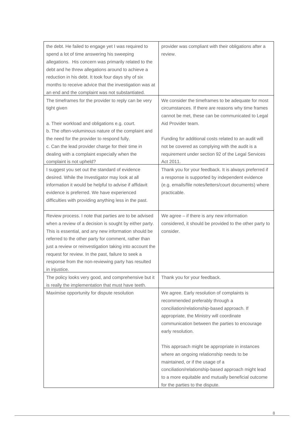| the debt. He failed to engage yet I was required to<br>spend a lot of time answering his sweeping<br>allegations. His concern was primarily related to the<br>debt and he threw allegations around to achieve a<br>reduction in his debt. It took four days shy of six<br>months to receive advice that the investigation was at<br>an end and the complaint was not substantiated.                                      | provider was compliant with their obligations after a<br>review.                                                                                                                                                                                                                                                                                                                                                                                                                                                                         |
|--------------------------------------------------------------------------------------------------------------------------------------------------------------------------------------------------------------------------------------------------------------------------------------------------------------------------------------------------------------------------------------------------------------------------|------------------------------------------------------------------------------------------------------------------------------------------------------------------------------------------------------------------------------------------------------------------------------------------------------------------------------------------------------------------------------------------------------------------------------------------------------------------------------------------------------------------------------------------|
| The timeframes for the provider to reply can be very<br>tight given<br>a. Their workload and obligations e.g. court.<br>b. The often-voluminous nature of the complaint and<br>the need for the provider to respond fully.<br>c. Can the lead provider charge for their time in<br>dealing with a complaint especially when the                                                                                          | We consider the timeframes to be adequate for most<br>circumstances. If there are reasons why time frames<br>cannot be met, these can be communicated to Legal<br>Aid Provider team.<br>Funding for additional costs related to an audit will<br>not be covered as complying with the audit is a<br>requirement under section 92 of the Legal Services                                                                                                                                                                                   |
| complaint is not upheld?<br>I suggest you set out the standard of evidence<br>desired. While the Investigator may look at all<br>information it would be helpful to advise if affidavit<br>evidence is preferred. We have experienced<br>difficulties with providing anything less in the past.                                                                                                                          | Act 2011.<br>Thank you for your feedback. It is always preferred if<br>a response is supported by independent evidence<br>(e.g. emails/file notes/letters/court documents) where<br>practicable.                                                                                                                                                                                                                                                                                                                                         |
| Review process. I note that parties are to be advised<br>when a review of a decision is sought by either party.<br>This is essential, and any new information should be<br>referred to the other party for comment, rather than<br>just a review or reinvestigation taking into account the<br>request for review. In the past, failure to seek a<br>response from the non-reviewing party has resulted<br>in injustice. | We agree - if there is any new information<br>considered, it should be provided to the other party to<br>consider.                                                                                                                                                                                                                                                                                                                                                                                                                       |
| The policy looks very good, and comprehensive but it<br>is really the implementation that must have teeth.                                                                                                                                                                                                                                                                                                               | Thank you for your feedback.                                                                                                                                                                                                                                                                                                                                                                                                                                                                                                             |
| Maximise opportunity for dispute resolution                                                                                                                                                                                                                                                                                                                                                                              | We agree. Early resolution of complaints is<br>recommended preferably through a<br>conciliation/relationship-based approach. If<br>appropriate, the Ministry will coordinate<br>communication between the parties to encourage<br>early resolution.<br>This approach might be appropriate in instances<br>where an ongoing relationship needs to be<br>maintained, or if the usage of a<br>conciliation/relationship-based approach might lead<br>to a more equitable and mutually beneficial outcome<br>for the parties to the dispute. |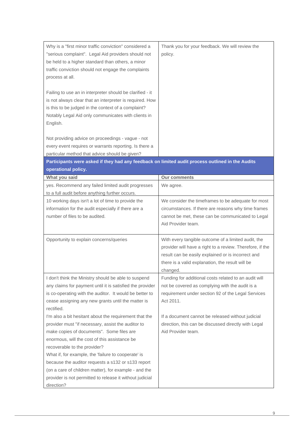| Why is a "first minor traffic conviction" considered a<br>"serious complaint". Legal Aid providers should not<br>be held to a higher standard than others, a minor<br>traffic conviction should not engage the complaints<br>process at all.<br>Failing to use an in interpreter should be clarified - it                                                                                                        | Thank you for your feedback. We will review the<br>policy.                                                                                                                                                                             |
|------------------------------------------------------------------------------------------------------------------------------------------------------------------------------------------------------------------------------------------------------------------------------------------------------------------------------------------------------------------------------------------------------------------|----------------------------------------------------------------------------------------------------------------------------------------------------------------------------------------------------------------------------------------|
| is not always clear that an interpreter is required. How<br>is this to be judged in the context of a complaint?<br>Notably Legal Aid only communicates with clients in<br>English.                                                                                                                                                                                                                               |                                                                                                                                                                                                                                        |
| Not providing advice on proceedings - vague - not<br>every event requires or warrants reporting. Is there a<br>particular method that advice should be given?                                                                                                                                                                                                                                                    |                                                                                                                                                                                                                                        |
| Participants were asked if they had any feedback on limited audit process outlined in the Audits<br>operational policy.                                                                                                                                                                                                                                                                                          |                                                                                                                                                                                                                                        |
| What you said                                                                                                                                                                                                                                                                                                                                                                                                    | <b>Our comments</b>                                                                                                                                                                                                                    |
| yes. Recommend any failed limited audit progresses<br>to a full audit before anything further occurs.                                                                                                                                                                                                                                                                                                            | We agree.                                                                                                                                                                                                                              |
| 10 working days isn't a lot of time to provide the<br>information for the audit especially if there are a<br>number of files to be audited.                                                                                                                                                                                                                                                                      | We consider the timeframes to be adequate for most<br>circumstances. If there are reasons why time frames<br>cannot be met, these can be communicated to Legal<br>Aid Provider team.                                                   |
| Opportunity to explain concerns/queries                                                                                                                                                                                                                                                                                                                                                                          | With every tangible outcome of a limited audit, the<br>provider will have a right to a review. Therefore, if the<br>result can be easily explained or is incorrect and<br>there is a valid explanation, the result will be<br>changed. |
| I don't think the Ministry should be able to suspend<br>any claims for payment until it is satisfied the provider<br>is co-operating with the auditor. It would be better to<br>cease assigning any new grants until the matter is<br>rectified.                                                                                                                                                                 | Funding for additional costs related to an audit will<br>not be covered as complying with the audit is a<br>requirement under section 92 of the Legal Services<br>Act 2011.                                                            |
| I'm also a bit hesitant about the requirement that the<br>provider must "if necessary, assist the auditor to<br>make copies of documents". Some files are<br>enormous, will the cost of this assistance be<br>recoverable to the provider?<br>What if, for example, the 'failure to cooperate' is<br>because the auditor requests a s132 or s133 report<br>(on a care of children matter), for example - and the | If a document cannot be released without judicial<br>direction, this can be discussed directly with Legal<br>Aid Provider team.                                                                                                        |
| provider is not permitted to release it without judicial<br>direction?                                                                                                                                                                                                                                                                                                                                           |                                                                                                                                                                                                                                        |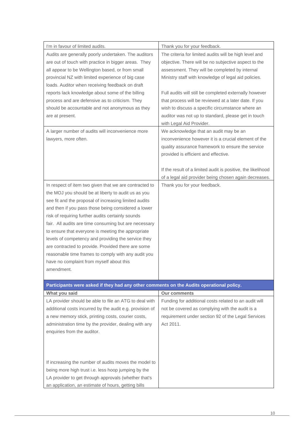| I'm in favour of limited audits.<br>Audits are generally poorly undertaken. The auditors                     | Thank you for your feedback.<br>The criteria for limited audits will be high level and |
|--------------------------------------------------------------------------------------------------------------|----------------------------------------------------------------------------------------|
| are out of touch with practice in bigger areas. They                                                         | objective. There will be no subjective aspect to the                                   |
| all appear to be Wellington based, or from small                                                             | assessment. They will be completed by internal                                         |
| provincial NZ with limited experience of big case                                                            | Ministry staff with knowledge of legal aid policies.                                   |
| loads. Auditor when receiving feedback on draft                                                              |                                                                                        |
| reports lack knowledge about some of the billing                                                             | Full audits will still be completed externally however                                 |
| process and are defensive as to criticism. They                                                              | that process will be reviewed at a later date. If you                                  |
|                                                                                                              |                                                                                        |
| should be accountable and not anonymous as they                                                              | wish to discuss a specific circumstance where an                                       |
| are at present.                                                                                              | auditor was not up to standard, please get in touch                                    |
|                                                                                                              | with Legal Aid Provider.                                                               |
| A larger number of audits will inconvenience more                                                            | We acknowledge that an audit may be an                                                 |
| lawyers, more often.                                                                                         | inconvenience however it is a crucial element of the                                   |
|                                                                                                              | quality assurance framework to ensure the service                                      |
|                                                                                                              | provided is efficient and effective.                                                   |
|                                                                                                              | If the result of a limited audit is positive, the likelihood                           |
|                                                                                                              | of a legal aid provider being chosen again decreases.                                  |
|                                                                                                              | Thank you for your feedback.                                                           |
| In respect of item two given that we are contracted to                                                       |                                                                                        |
| the MOJ you should be at liberty to audit us as you                                                          |                                                                                        |
| see fit and the proposal of increasing limited audits                                                        |                                                                                        |
| and then if you pass those being considered a lower                                                          |                                                                                        |
| risk of requiring further audits certainly sounds                                                            |                                                                                        |
| fair. All audits are time consuming but are necessary                                                        |                                                                                        |
| to ensure that everyone is meeting the appropriate                                                           |                                                                                        |
| levels of competency and providing the service they                                                          |                                                                                        |
| are contracted to provide. Provided there are some                                                           |                                                                                        |
| reasonable time frames to comply with any audit you                                                          |                                                                                        |
| have no complaint from myself about this                                                                     |                                                                                        |
| amendment.                                                                                                   |                                                                                        |
|                                                                                                              |                                                                                        |
| Participants were asked if they had any other comments on the Audits operational policy.                     |                                                                                        |
| What you said                                                                                                | <b>Our comments</b>                                                                    |
| LA provider should be able to file an ATG to deal with                                                       | Funding for additional costs related to an audit will                                  |
| additional costs incurred by the audit e.g. provision of                                                     | not be covered as complying with the audit is a                                        |
| a new memory stick, printing costs, courier costs,                                                           | requirement under section 92 of the Legal Services                                     |
| administration time by the provider, dealing with any                                                        | Act 2011.                                                                              |
| enquiries from the auditor.                                                                                  |                                                                                        |
|                                                                                                              |                                                                                        |
|                                                                                                              |                                                                                        |
|                                                                                                              |                                                                                        |
|                                                                                                              |                                                                                        |
|                                                                                                              |                                                                                        |
|                                                                                                              |                                                                                        |
| If increasing the number of audits moves the model to<br>being more high trust i.e. less hoop jumping by the |                                                                                        |
| LA provider to get through approvals (whether that's                                                         |                                                                                        |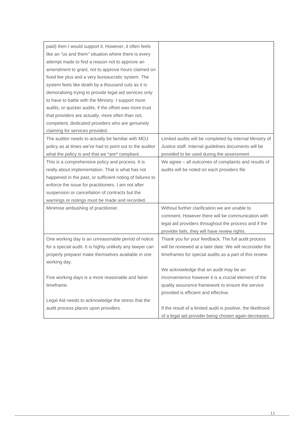| paid) then I would support it. However, it often feels    |                                                              |
|-----------------------------------------------------------|--------------------------------------------------------------|
| like an "us and them" situation where there is every      |                                                              |
| attempt made to find a reason not to approve an           |                                                              |
| amendment to grant, not to approve hours claimed on       |                                                              |
| fixed fee plus and a very bureaucratic system. The        |                                                              |
| system feels like death by a thousand cuts as it is       |                                                              |
| demoralising trying to provide legal aid services only    |                                                              |
| to have to battle with the Ministry. I support more       |                                                              |
| audits, or quicker audits, if the offset was more trust   |                                                              |
| that providers are actually, more often than not,         |                                                              |
| competent, dedicated providers who are genuinely          |                                                              |
| claiming for services provided.                           |                                                              |
| The auditor needs to actually be familiar with MOJ        | Limited audits will be completed by internal Ministry of     |
| policy as at times we've had to point out to the auditor  | Justice staff. Internal guidelines documents will be         |
| what the policy is and that we *are* compliant.           | provided to be used during the assessment                    |
| This is a comprehensive policy and process. It is         | We agree - all outcomes of complaints and results of         |
| really about implementation. That is what has not         | audits will be noted on each providers file                  |
| happened in the past, or sufficient noting of failures to |                                                              |
| enforce the issue for practitioners. I am not after       |                                                              |
| suspension or cancellation of contracts but the           |                                                              |
| warnings or notings must be made and recorded.            |                                                              |
| Minimise ambushing of practitioner.                       | Without further clarification we are unable to               |
|                                                           | comment. However there will be communication with            |
|                                                           | legal aid providers throughout the process and if the        |
|                                                           | provider fails, they will have review rights.                |
| One working day is an unreasonable period of notice       | Thank you for your feedback. The full audit process          |
| for a special audit. It is highly unlikely any lawyer can | will be reviewed at a later date. We will reconsider the     |
| properly prepare/ make themselves available in one        | timeframes for special audits as a part of this review.      |
| working day.                                              |                                                              |
|                                                           | We acknowledge that an audit may be an                       |
| Five working days is a more reasonable and fairer         | inconvenience however it is a crucial element of the         |
| timeframe.                                                | quality assurance framework to ensure the service            |
|                                                           | provided is efficient and effective.                         |
| Legal Aid needs to acknowledge the stress that the        |                                                              |
| audit process places upon providers.                      | If the result of a limited audit is positive, the likelihood |
|                                                           |                                                              |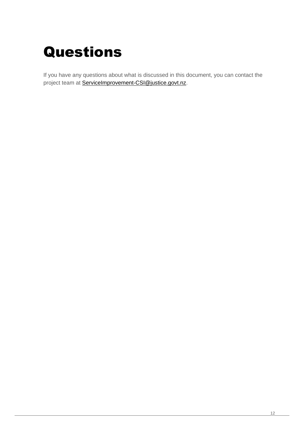# <span id="page-11-0"></span>Questions

If you have any questions about what is discussed in this document, you can contact the project team at [ServiceImprovement-CSI@justice.govt.nz.](mailto:ServiceImprovement-CSI@justice.govt.nz)